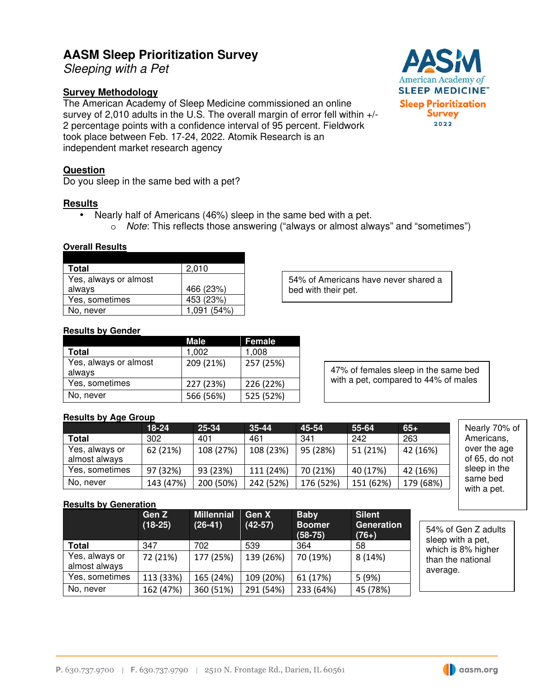# **AASM Sleep Prioritization Survey**

Sleeping with a Pet

# **Survey Methodology**

The American Academy of Sleep Medicine commissioned an online survey of 2,010 adults in the U.S. The overall margin of error fell within +/- 2 percentage points with a confidence interval of 95 percent. Fieldwork took place between Feb. 17-24, 2022. Atomik Research is an independent market research agency

# **Question**

Do you sleep in the same bed with a pet?

### **Results**

- Nearly half of Americans (46%) sleep in the same bed with a pet.
	- o Note: This reflects those answering ("always or almost always" and "sometimes")

#### **Overall Results**

| Total                 | 2,010     |
|-----------------------|-----------|
| Yes, always or almost |           |
| always                | 466 (23%) |
| Yes, sometimes        | 453 (23%) |
| No. never             | $(54\%)$  |

54% of Americans have never shared a bed with their pet.

#### **Results by Gender**

|                                 | Male      | Female    |
|---------------------------------|-----------|-----------|
| Total                           | 1,002     | 1.008     |
| Yes, always or almost<br>always | 209 (21%) | 257 (25%) |
| Yes, sometimes                  | 227 (23%) | 226 (22%) |
| No, never                       | 566 (56%) | 525 (52%) |

47% of females sleep in the same bed with a pet, compared to 44% of males

### **Results by Age Group**

|                                 | 18-24     | 25-34     | $35 - 44$ | 45-54     | 55-64     | $65 +$    |
|---------------------------------|-----------|-----------|-----------|-----------|-----------|-----------|
| Total                           | 302       | 401       | 461       | 341       | 242       | 263       |
| Yes, always or<br>almost always | 62 (21%)  | 108 (27%) | 108 (23%) | 95 (28%)  | 51 (21%)  | 42 (16%)  |
| Yes, sometimes                  | 97 (32%)  | 93 (23%)  | 111 (24%) | 70 (21%)  | 40 (17%)  | 42 (16%)  |
| No, never                       | 143 (47%) | 200 (50%) | 242 (52%) | 176 (52%) | 151 (62%) | 179 (68%) |

Nearly 70% of Americans, over the age of 65, do not sleep in the same bed with a pet.

### **Results by Generation**

|                                 | Gen Z<br>$(18-25)$ | <b>Millennial</b><br>$(26-41)$ | Gen X<br>$(42-57)$ | <b>Baby</b><br><b>Boomer</b><br>$(58-75)$ | <b>Silent</b><br><b>Generation</b><br>$(76+)$ |
|---------------------------------|--------------------|--------------------------------|--------------------|-------------------------------------------|-----------------------------------------------|
| <b>Total</b>                    | 347                | 702                            | 539                | 364                                       | 58                                            |
| Yes, always or<br>almost always | 72 (21%)           | 177 (25%)                      | 139 (26%)          | 70 (19%)                                  | 8(14%)                                        |
| Yes, sometimes                  | 113 (33%)          | 165 (24%)                      | 109 (20%)          | 61 (17%)                                  | 5(9%)                                         |
| No, never                       | 162 (47%)          | 360 (51%)                      | 291 (54%)          | 233 (64%)                                 | 45 (78%)                                      |

54% of Gen Z adults sleep with a pet, which is 8% higher than the national average.



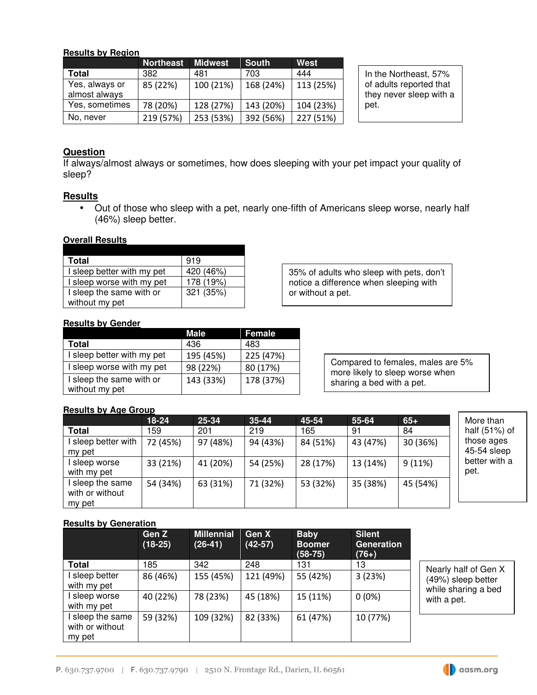### **Results by Region**

|                                 | <b>Northeast</b> | <b>Midwest</b> | <b>South</b> | West      |
|---------------------------------|------------------|----------------|--------------|-----------|
| Total                           | 382              | 481            | 703          | 444       |
| Yes, always or<br>almost always | 85 (22%)         | 100 (21%)      | 168 (24%)    | 113 (25%) |
| Yes, sometimes                  | 78 (20%)         | 128 (27%)      | 143 (20%)    | 104 (23%) |
| No, never                       | 219 (57%)        | 253 (53%)      | 392 (56%)    | 227 (51%) |

In the Northeast, 57% of adults reported that they never sleep with a pet.

# **Question**

If always/almost always or sometimes, how does sleeping with your pet impact your quality of sleep?

## **Results**

• Out of those who sleep with a pet, nearly one-fifth of Americans sleep worse, nearly half (46%) sleep better.

### **Overall Results**

| <b>Total</b>               | 919       |
|----------------------------|-----------|
| I sleep better with my pet | 420 (46%) |
| I sleep worse with my pet  | 178 (19%) |
| I sleep the same with or   | 321 (35%) |
| without my pet             |           |

35% of adults who sleep with pets, don't notice a difference when sleeping with or without a pet.

## **Results by Gender**

|                                            | Male      | Female    |
|--------------------------------------------|-----------|-----------|
| Total                                      | 436       | 483       |
| I sleep better with my pet                 | 195 (45%) | 225 (47%) |
| I sleep worse with my pet                  | 98 (22%)  | 80 (17%)  |
| I sleep the same with or<br>without my pet | 143 (33%) | 178 (37%) |

Compared to females, males are 5% more likely to sleep worse when sharing a bed with a pet.

### **Results by Age Group**

|                                     | 18-24    | 25-34    | $35 - 44$ | 45-54    | 55-64    | $65+$    | More than                 |
|-------------------------------------|----------|----------|-----------|----------|----------|----------|---------------------------|
| <b>Total</b>                        | 159      | 201      | 219       | 165      | 91       | 84       | half (51%) of             |
| sleep better with<br>my pet         | 72 (45%) | 97 (48%) | 94 (43%)  | 84 (51%) | 43 (47%) | 30 (36%) | those ages<br>45-54 sleep |
| sleep worse<br>with my pet          | 33 (21%) | 41 (20%) | 54 (25%)  | 28 (17%) | 13 (14%) | 9(11%)   | better with a<br>pet.     |
| I sleep the same<br>with or without | 54 (34%) | 63 (31%) | 71 (32%)  | 53 (32%) | 35 (38%) | 45 (54%) |                           |
| my pet                              |          |          |           |          |          |          |                           |

### **Results by Generation**

|                                               | Gen Z<br>$(18-25)$ | <b>Millennial</b><br>$(26-41)$ | Gen X<br>$(42-57)$ | <b>Baby</b><br><b>Boomer</b><br>$(58-75)$ | <b>Silent</b><br>Generation<br>$(76+)$ |  |
|-----------------------------------------------|--------------------|--------------------------------|--------------------|-------------------------------------------|----------------------------------------|--|
| Total                                         | 185                | 342                            | 248                | 131                                       | 13                                     |  |
| I sleep better<br>with my pet                 | 86 (46%)           | 155 (45%)                      | 121 (49%)          | 55 (42%)                                  | 3(23%)                                 |  |
| I sleep worse<br>with my pet                  | 40 (22%)           | 78 (23%)                       | 45 (18%)           | 15 (11%)                                  | $0(0\%)$                               |  |
| I sleep the same<br>with or without<br>my pet | 59 (32%)           | 109 (32%)                      | 82 (33%)           | 61 (47%)                                  | 10 (77%)                               |  |

Nearly half of Gen X (49%) sleep better while sharing a bed with a pet.